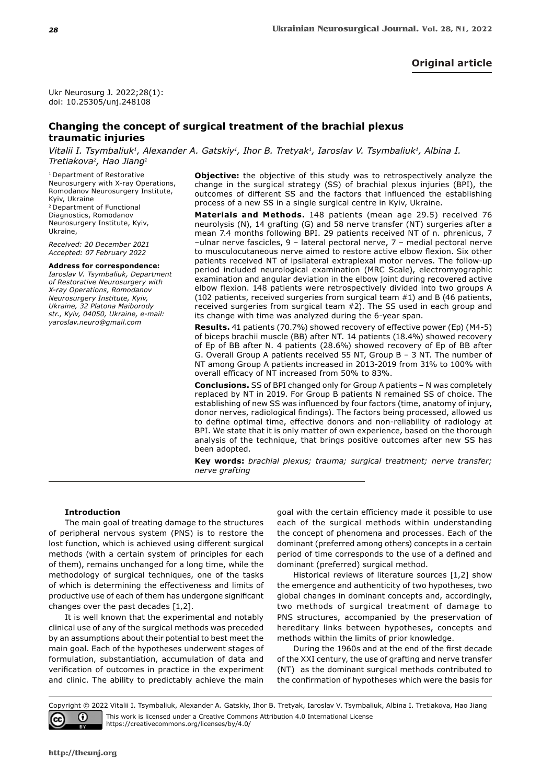## **Original article**

Ukr Neurosurg J. 2022;28(1): doi: 10.25305/unj.248108

# **Changing the concept of surgical treatment of the brachial plexus traumatic injuries**

Vitalii I. Tsymbaliuk<sup>1</sup>, Alexander A. Gatskiy<sup>1</sup>, Ihor B. Tretyak<sup>1</sup>, Iaroslav V. Tsymbaliuk<sup>1</sup>, Albina I. *Tretiakova2, Hao Jiang1*

1 Department of Restorative Neurosurgery with X-ray Operations, Romodanov Neurosurgery Institute, Kyiv, Ukraine 2 Department of Functional Diagnostics, Romodanov

Neurosurgery Institute, Kyiv, Ukraine,

*Received: 20 December 2021 Accepted: 07 February 2022*

#### **Address for correspondence:**

*Iaroslav V. Tsymbaliuk, Department of Restorative Neurosurgery with X-ray Operations, Romodanov Neurosurgery Institute, Kyiv, Ukraine, 32 Platona Maiborody str., Kyiv, 04050, Ukraine, e-mail: yaroslav.neuro@gmail.com*

**Objective:** the objective of this study was to retrospectively analyze the change in the surgical strategy (SS) of brachial plexus injuries (BPI), the outcomes of different SS and the factors that influenced the establishing process of a new SS in a single surgical centre in Kyiv, Ukraine.

**Materials and Methods.** 148 patients (mean age 29.5) received 76 neurolysis (N), 14 grafting (G) and 58 nerve transfer (NT) surgeries after a mean 7.4 months following BPI. 29 patients received NT of n. phrenicus, 7 –ulnar nerve fascicles, 9 – lateral pectoral nerve, 7 – medial pectoral nerve to musculocutaneous nerve aimed to restore active elbow flexion. Six other patients received NT of ipsilateral extraplexal motor nerves. The follow-up period included neurological examination (MRC Scale), electromyographic examination and angular deviation in the elbow joint during recovered active elbow flexion. 148 patients were retrospectively divided into two groups A (102 patients, received surgeries from surgical team #1) and B (46 patients, received surgeries from surgical team #2). The SS used in each group and its change with time was analyzed during the 6-year span.

**Results.** 41 patients (70.7%) showed recovery of effective power (Ep) (M4-5) of biceps brachii muscle (BB) after NT. 14 patients (18.4%) showed recovery of Ep of BB after N. 4 patients (28.6%) showed recovery of Ep of BB after G. Overall Group A patients received 55 NT, Group B – 3 NT. The number of NT among Group A patients increased in 2013-2019 from 31% to 100% with overall efficacy of NT increased from 50% to 83%.

**Conclusions.** SS of BPI changed only for Group A patients – N was completely replaced by NT in 2019. For Group B patients N remained SS of choice. The establishing of new SS was influenced by four factors (time, anatomy of injury, donor nerves, radiological findings). The factors being processed, allowed us to define optimal time, effective donors and non-reliability of radiology at BPI. We state that it is only matter of own experience, based on the thorough analysis of the technique, that brings positive outcomes after new SS has been adopted.

**Key words:** *brachial plexus; trauma; surgical treatment; nerve transfer; nerve grafting*

### **Introduction**

The main goal of treating damage to the structures of peripheral nervous system (PNS) is to restore the lost function, which is achieved using different surgical methods (with a certain system of principles for each of them), remains unchanged for a long time, while the methodology of surgical techniques, one of the tasks of which is determining the effectiveness and limits of productive use of each of them has undergone significant changes over the past decades [1,2].

It is well known that the experimental and notably clinical use of any of the surgical methods was preceded by an assumptions about their potential to best meet the main goal. Each of the hypotheses underwent stages of formulation, substantiation, accumulation of data and verification of outcomes in practice in the experiment and clinic. The ability to predictably achieve the main

goal with the certain efficiency made it possible to use each of the surgical methods within understanding the concept of phenomena and processes. Each of the dominant (preferred among others) concepts in a certain period of time corresponds to the use of a defined and dominant (preferred) surgical method.

Historical reviews of literature sources [1,2] show the emergence and authenticity of two hypotheses, two global changes in dominant concepts and, accordingly, two methods of surgical treatment of damage to PNS structures, accompanied by the preservation of hereditary links between hypotheses, concepts and methods within the limits of prior knowledge.

During the 1960s and at the end of the first decade of the XXI century, the use of grafting and nerve transfer (NT) as the dominant surgical methods contributed to the confirmation of hypotheses which were the basis for

Copyright © 2022 Vitalii I. Tsymbaliuk, Alexander A. Gatskiy, Ihor B. Tretyak, Iaroslav V. Tsymbaliuk, Albina I. Tretiakova, Hao Jiang This work is licensed under a Creative Commons Attribution 4.0 International License ω (cc https://creativecommons.org/licenses/by/4.0/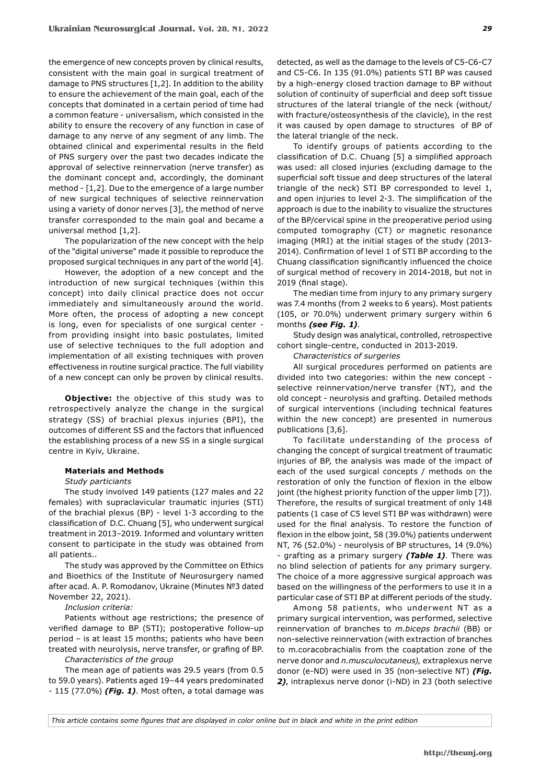the emergence of new concepts proven by clinical results, consistent with the main goal in surgical treatment of damage to PNS structures [1,2]. In addition to the ability to ensure the achievement of the main goal, each of the concepts that dominated in a certain period of time had a common feature - universalism, which consisted in the ability to ensure the recovery of any function in case of damage to any nerve of any segment of any limb. The obtained clinical and experimental results in the field of PNS surgery over the past two decades indicate the approval of selective reinnervation (nerve transfer) as the dominant concept and, accordingly, the dominant method - [1,2]. Due to the emergence of a large number of new surgical techniques of selective reinnervation using a variety of donor nerves [3], the method of nerve transfer corresponded to the main goal and became a universal method [1,2].

The popularization of the new concept with the help of the "digital universe" made it possible to reproduce the proposed surgical techniques in any part of the world [4].

However, the adoption of a new concept and the introduction of new surgical techniques (within this concept) into daily clinical practice does not occur immediately and simultaneously around the world. More often, the process of adopting a new concept is long, even for specialists of one surgical center from providing insight into basic postulates, limited use of selective techniques to the full adoption and implementation of all existing techniques with proven effectiveness in routine surgical practice. The full viability of a new concept can only be proven by clinical results.

**Objective:** the objective of this study was to retrospectively analyze the change in the surgical strategy (SS) of brachial plexus injuries (BPI), the outcomes of different SS and the factors that influenced the establishing process of a new SS in a single surgical centre in Kyiv, Ukraine.

### **Materials and Methods**

#### *Study particiants*

The study involved 149 patients (127 males and 22 females) with supraclavicular traumatic injuries (STI) of the brachial plexus (BP) - level 1-3 according to the classification of D.C. Chuang [5], who underwent surgical treatment in 2013–2019. Informed and voluntary written consent to participate in the study was obtained from all patients..

The study was approved by the Committee on Ethics and Bioethics of the Institute of Neurosurgery named after acad. A. P. Romodanov, Ukraine (Minutes №3 dated November 22, 2021).

*Inclusion criteria:*

Patients without age restrictions; the presence of verified damage to BP (STI); postoperative follow-up period – is at least 15 months; patients who have been treated with neurolysis, nerve transfer, or grafing of BP.

*Characteristics of the group*

The mean age of patients was 29.5 years (from 0.5 to 59.0 years). Patients aged 19–44 years predominated - 115 (77.0%) *(Fig. 1)*. Most often, a total damage was

detected, as well as the damage to the levels of C5-C6-C7 and C5-C6. In 135 (91.0%) patients STI BP was caused by a high-energy closed traction damage to BP without solution of continuity of superficial and deep soft tissue structures of the lateral triangle of the neck (without/ with fracture/osteosynthesis of the clavicle), in the rest it was caused by open damage to structures of BP of the lateral triangle of the neck.

To identify groups of patients according to the classification of D.C. Chuang [5] a simplified approach was used: all closed injuries (excluding damage to the superficial soft tissue and deep structures of the lateral triangle of the neck) STI BP corresponded to level 1, and open injuries to level 2-3. The simplification of the approach is due to the inability to visualize the structures of the BP/cervical spine in the preoperative period using computed tomography (CT) or magnetic resonance imaging (MRI) at the initial stages of the study (2013- 2014). Confirmation of level 1 of STI BP according to the Chuang classification significantly influenced the choice of surgical method of recovery in 2014-2018, but not in 2019 (final stage).

The median time from injury to any primary surgery was 7.4 months (from 2 weeks to 6 years). Most patients (105, or 70.0%) underwent primary surgery within 6 months *(see Fig. 1)*.

Study design was analytical, controlled, retrospective cohort single-centre, conducted in 2013-2019.

*Characteristics of surgeries*

All surgical procedures performed on patients are divided into two categories: within the new concept selective reinnervation/nerve transfer (NT), and the old concept - neurolysis and grafting. Detailed methods of surgical interventions (including technical features within the new concept) are presented in numerous publications [3,6].

To facilitate understanding of the process of changing the concept of surgical treatment of traumatic injuries of BP, the analysis was made of the impact of each of the used surgical concepts / methods on the restoration of only the function of flexion in the elbow joint (the highest priority function of the upper limb [7]). Therefore, the results of surgical treatment of only 148 patients (1 case of C5 level STI BP was withdrawn) were used for the final analysis. To restore the function of flexion in the elbow joint, 58 (39.0%) patients underwent NT, 76 (52.0%) - neurolysis of BP structures, 14 (9.0%) - grafting as a primary surgery *(Table 1)*. There was no blind selection of patients for any primary surgery. The choice of a more aggressive surgical approach was based on the willingness of the performers to use it in a particular case of STI BP at different periods of the study.

Among 58 patients, who underwent NT as a primary surgical intervention, was performed, selective reinnervation of branches to *m.biceps brachii* (ВВ) or non-selective reinnervation (with extraction of branches to m.coracobrachialis from the coaptation zone of the nerve donor and *n.musculocutaneus),* extraplexus nerve donor (e-ND) were used in 35 (non-selective NT) *(Fig. 2)*, intraplexus nerve donor (i-ND) in 23 (both selective

*This article contains some figures that are displayed in color online but in black and white in the print edition*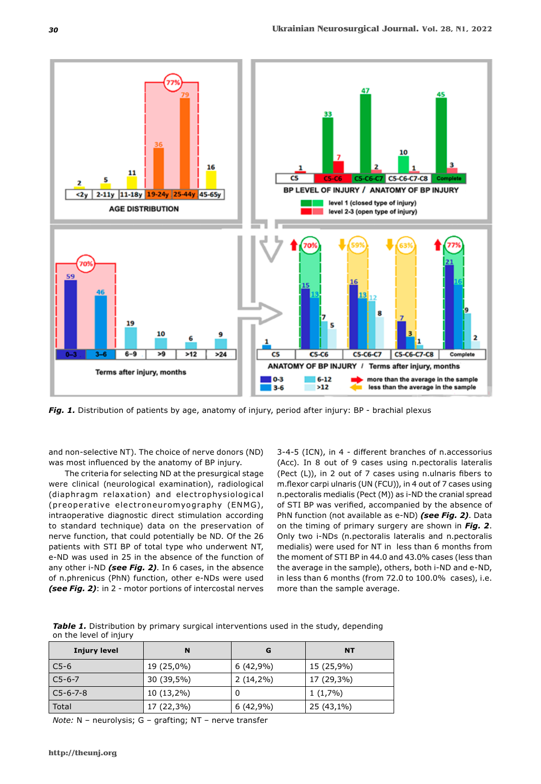

*Fig. 1.* Distribution of patients by age, anatomy of injury, period after injury: BP - brachial plexus

and non-selective NT). The choice of nerve donors (ND) was most influenced by the anatomy of BP injury.

The criteria for selecting ND at the presurgical stage were clinical (neurological examination), radiological (diaphragm relaxation) and electrophysiological (preoperative electroneuromyography (ENMG), intraoperative diagnostic direct stimulation according to standard technique) data on the preservation of nerve function, that could potentially be ND. Of the 26 patients with STI BP of total type who underwent NT, e-ND was used in 25 in the absence of the function of any other i-ND *(see Fig. 2)*. In 6 cases, in the absence of n.phrenicus (PhN) function, other e-NDs were used *(see Fig. 2)*: in 2 - motor portions of intercostal nerves 3-4-5 (ICN), in 4 - different branches of n.accessorius (Acc). In 8 out of 9 cases using n.pectoralis lateralis (Pect (L)), in 2 out of 7 cases using n.ulnaris fibers to m.flexor carpi ulnaris (UN (FCU)), in 4 out of 7 cases using n.pectoralis medialis (Pect (M)) as i-ND the cranial spread of STI BP was verified, accompanied by the absence of PhN function (not available as e-ND) *(see Fig. 2)*. Data on the timing of primary surgery are shown in *Fig. 2*. Only two i-NDs (n.pectoralis lateralis and n.pectoralis medialis) were used for NT in less than 6 months from the moment of STI BP in 44.0 and 43.0% cases (less than the average in the sample), others, both i-ND and e-ND, in less than 6 months (from 72.0 to 100.0% cases), i.e. more than the sample average.

**Table 1.** Distribution by primary surgical interventions used in the study, depending on the level of injury

| <b>Injury level</b> | N          | G           | <b>NT</b>  |
|---------------------|------------|-------------|------------|
| $C5-6$              | 19 (25,0%) | $6(42,9\%)$ | 15 (25,9%) |
| $C5-6-7$            | 30 (39,5%) | $2(14,2\%)$ | 17 (29,3%) |
| $C5 - 6 - 7 - 8$    | 10 (13,2%) |             | $1(1,7\%)$ |
| Total               | 17 (22,3%) | 6 (42,9%)   | 25 (43,1%) |

*Note:* N – neurolysis; G – grafting; NT – nerve transfer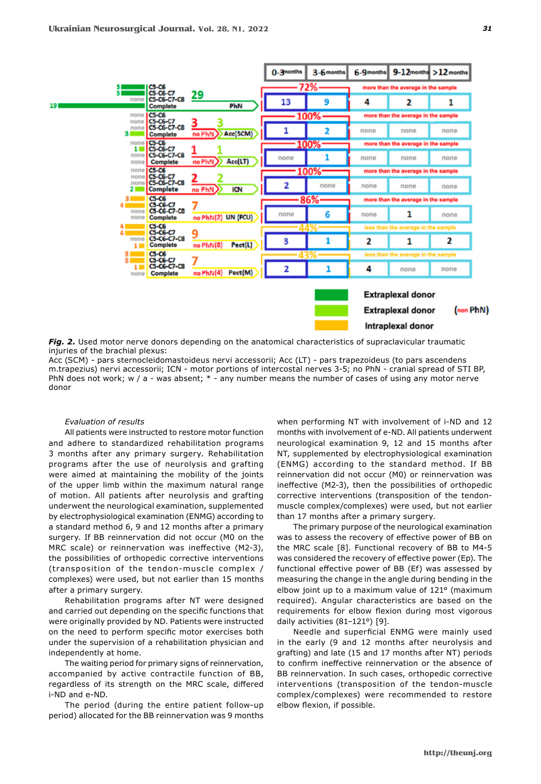

*Fig. 2.* Used motor nerve donors depending on the anatomical characteristics of supraclavicular traumatic injuries of the brachial plexus:

Acc (SCM) - pars sternocleidomastoideus nervi accessorii; Acc (LT) - pars trapezoideus (to pars ascendens m.trapezius) nervi accessorii; ICN - motor portions of intercostal nerves 3-5; no PhN - cranial spread of STI BP, PhN does not work; w / a - was absent;  $*$  - any number means the number of cases of using any motor nerve donor

#### *Evaluation of results*

All patients were instructed to restore motor function and adhere to standardized rehabilitation programs 3 months after any primary surgery. Rehabilitation programs after the use of neurolysis and grafting were aimed at maintaining the mobility of the joints of the upper limb within the maximum natural range of motion. All patients after neurolysis and grafting underwent the neurological examination, supplemented by electrophysiological examination (ENMG) according to a standard method 6, 9 and 12 months after a primary surgery. If BB reinnervation did not occur (M0 on the MRC scale) or reinnervation was ineffective (M2-3), the possibilities of orthopedic corrective interventions (transposition of the tendon-muscle complex / complexes) were used, but not earlier than 15 months after a primary surgery.

Rehabilitation programs after NT were designed and carried out depending on the specific functions that were originally provided by ND. Patients were instructed on the need to perform specific motor exercises both under the supervision of a rehabilitation physician and independently at home.

The waiting period for primary signs of reinnervation, accompanied by active contractile function of BB, regardless of its strength on the MRC scale, differed i-ND and e-ND.

The period (during the entire patient follow-up period) allocated for the BB reinnervation was 9 months when performing NT with involvement of i-ND and 12 months with involvement of e-ND. All patients underwent neurological examination 9, 12 and 15 months after NT, supplemented by electrophysiological examination (ENMG) according to the standard method. If BB reinnervation did not occur (M0) or reinnervation was ineffective (M2-3), then the possibilities of orthopedic corrective interventions (transposition of the tendonmuscle complex/complexes) were used, but not earlier than 17 months after a primary surgery.

The primary purpose of the neurological examination was to assess the recovery of effective power of BB on the MRC scale [8]. Functional recovery of BB to M4-5 was considered the recovery of effective power (Ep). The functional effective power of BB (Ef) was assessed by measuring the change in the angle during bending in the elbow joint up to a maximum value of 121° (maximum required). Angular characteristics are based on the requirements for elbow flexion during most vigorous daily activities (81-121°) [9].

Needle and superficial ENMG were mainly used in the early (9 and 12 months after neurolysis and grafting) and late (15 and 17 months after NT) periods to confirm ineffective reinnervation or the absence of BB reinnervation. In such cases, orthopedic corrective interventions (transposition of the tendon-muscle complex/complexes) were recommended to restore elbow flexion, if possible.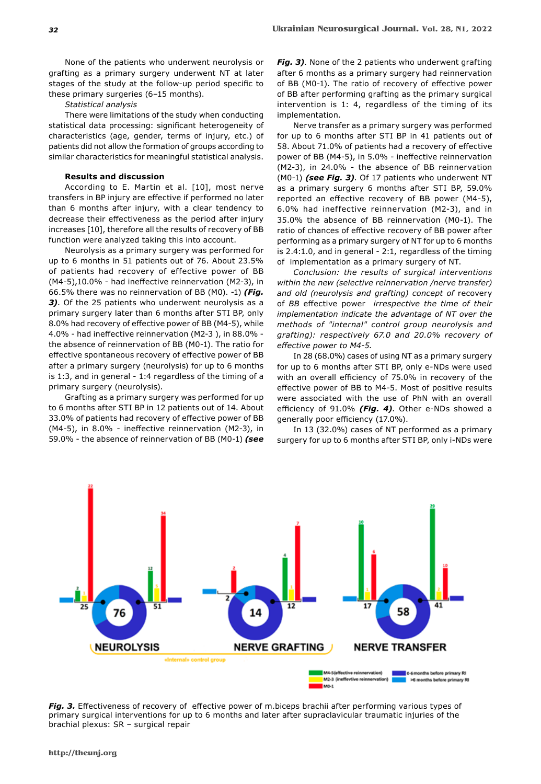None of the patients who underwent neurolysis or grafting as a primary surgery underwent NT at later stages of the study at the follow-up period specific to these primary surgeries (6–15 months).

#### *Statistical analysis*

There were limitations of the study when conducting statistical data processing: significant heterogeneity of characteristics (age, gender, terms of injury, etc.) of patients did not allow the formation of groups according to similar characteristics for meaningful statistical analysis.

### **Results and discussion**

According to E. Martin et al. [10], most nerve transfers in BP injury are effective if performed no later than 6 months after injury, with a clear tendency to decrease their effectiveness as the period after injury increases [10], therefore all the results of recovery of BB function were analyzed taking this into account.

Neurolysis as a primary surgery was performed for up to 6 months in 51 patients out of 76. About 23.5% of patients had recovery of effective power of BB (M4-5),10.0% - had ineffective reinnervation (M2-3), in 66.5% there was no reinnervation of BB (M0). -1) *(Fig. 3)*. Of the 25 patients who underwent neurolysis as a primary surgery later than 6 months after STI BP, only 8.0% had recovery of effective power of BB (M4-5), while 4.0% - had ineffective reinnervation (M2-3 ), in 88.0% the absence of reinnervation of BB (M0-1). The ratio for effective spontaneous recovery of effective power of BB after a primary surgery (neurolysis) for up to 6 months is 1:3, and in general - 1:4 regardless of the timing of a primary surgery (neurolysis).

Grafting as a primary surgery was performed for up to 6 months after STI BP in 12 patients out of 14. About 33.0% of patients had recovery of effective power of BB (M4-5), in 8.0% - ineffective reinnervation (M2-3), in 59.0% - the absence of reinnervation of BB (M0-1) *(see* 

*Fig. 3)*. None of the 2 patients who underwent grafting after 6 months as a primary surgery had reinnervation of BB (M0-1). The ratio of recovery of effective power of BB after performing grafting as the primary surgical intervention is 1: 4, regardless of the timing of its implementation.

Nerve transfer as a primary surgery was performed for up to 6 months after STI BP in 41 patients out of 58. About 71.0% of patients had a recovery of effective power of BB (M4-5), in 5.0% - ineffective reinnervation (M2-3), in 24.0% - the absence of BB reinnervation (M0-1) *(see Fig. 3)*. Of 17 patients who underwent NT as a primary surgery 6 months after STI BP, 59.0% reported an effective recovery of BB power (M4-5), 6.0% had ineffective reinnervation (M2-3), and in 35.0% the absence of BB reinnervation (M0-1). The ratio of chances of effective recovery of BB power after performing as a primary surgery of NT for up to 6 months is 2.4:1.0, and in general - 2:1, regardless of the timing of implementation as a primary surgery of NT.

*Conclusion: the results of surgical interventions within the new (selective reinnervation /nerve transfer) and old (neurolysis and grafting) concept of* recovery of *BB* effective power *irrespective the time of their implementation indicate the advantage of NT over the methods of "internal" control group neurolysis and grafting): respectively 67.0 and 20.0% recovery of effective power to M4-5.*

In 28 (68.0%) cases of using NT as a primary surgery for up to 6 months after STI BP, only e-NDs were used with an overall efficiency of 75.0% in recovery of the effective power of BB to M4-5. Most of positive results were associated with the use of PhN with an overall efficiency of 91.0% *(Fig. 4)*. Other e-NDs showed a generally poor efficiency (17.0%).

In 13 (32.0%) cases of NT performed as a primary surgery for up to 6 months after STI BP, only i-NDs were



*Fig. 3.* Effectiveness of recovery of effective power of m.biceps brachii after performing various types of primary surgical interventions for up to 6 months and later after supraclavicular traumatic injuries of the brachial plexus: SR – surgical repair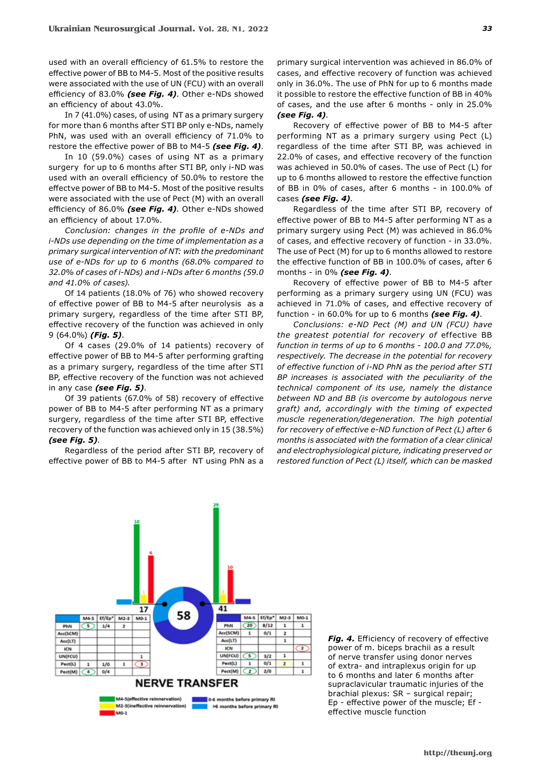used with an overall efficiency of 61.5% to restore the effective power of BB to M4-5. Most of the positive results were associated with the use of UN (FCU) with an overall efficiency of 83.0% *(see Fig. 4)*. Other e-NDs showed an efficiency of about 43.0%.

In 7 (41.0%) cases, of using NT as a primary surgery for more than 6 months after STI BP only e-NDs, namely PhN, was used with an overall efficiency of 71.0% to restore the effective power of BB to M4-5 *(see Fig. 4)*.

In 10 (59.0%) cases of using NT as a primary surgery for up to 6 months after STI BP, only i-ND was used with an overall efficiency of 50.0% to restore the effectve power of BB to M4-5. Most of the positive results were associated with the use of Pect (M) with an overall efficiency of 86.0% *(see Fig. 4)*. Other e-NDs showed an efficiency of about 17.0%.

*Conclusion: changes in the profile of e-NDs and i-NDs use depending on the time of implementation as a primary surgical intervention of NT: with the predominant use of e-NDs for up to 6 months (68.0% compared to 32.0% of cases of i-NDs) and i-NDs after 6 months (59.0 and 41.0% of cases).*

Of 14 patients (18.0% of 76) who showed recovery of effective power of BB to M4-5 after neurolysis as a primary surgery, regardless of the time after STI BP, effective recovery of the function was achieved in only 9 (64.0%) *(Fig. 5)*.

Of 4 cases (29.0% of 14 patients) recovery of effective power of BB to M4-5 after performing grafting as a primary surgery, regardless of the time after STI BP, effective recovery of the function was not achieved in any case *(see Fig. 5)*.

Of 39 patients (67.0% of 58) recovery of effective power of BB to M4-5 after performing NT as a primary surgery, regardless of the time after STI BP, effective recovery of the function was achieved only in 15 (38.5%) *(see Fig. 5)*.

Regardless of the period after STI BP, recovery of effective power of BB to M4-5 after NT using PhN as a

primary surgical intervention was achieved in 86.0% of cases, and effective recovery of function was achieved only in 36.0%. The use of PhN for up to 6 months made it possible to restore the effective function of BB in 40% of cases, and the use after 6 months - only in 25.0% *(see Fig. 4)*.

Recovery of effective power of BB to M4-5 after performing NT as a primary surgery using Pect (L) regardless of the time after STI BP, was achieved in 22.0% of cases, and effective recovery of the function was achieved in 50.0% of cases. The use of Pect (L) for up to 6 months allowed to restore the effective function of BB in 0% of cases, after 6 months - in 100.0% of cases *(see Fig. 4)*.

Regardless of the time after STI BP, recovery of effective power of BB to M4-5 after performing NT as a primary surgery using Pect (M) was achieved in 86.0% of cases, and effective recovery of function - in 33.0%. The use of Pect (M) for up to 6 months allowed to restore the effective function of BB in 100.0% of cases, after 6 months - in 0% *(see Fig. 4)*.

Recovery of effective power of BB to M4-5 after performing as a primary surgery using UN (FCU) was achieved in 71.0% of cases, and effective recovery of function - in 60.0% for up to 6 months *(see Fig. 4)*.

*Conclusions: e-ND Pect (M) and UN (FCU) have the greatest potential for recovery of* effective BB *function in terms of up to 6 months - 100.0 and 77.0%, respectively. The decrease in the potential for recovery of effective function of i-ND PhN as the period after STI BP increases is associated with the peculiarity of the technical component of its use, namely the distance between ND and BB (is overcome by autologous nerve graft) and, accordingly with the timing of expected muscle regeneration/degeneration. The high potential for recovery of effective e-ND function of Pect (L) after 6 months is associated with the formation of a clear clinical and electrophysiological picture, indicating preserved or restored function of Pect (L) itself, which can be masked* 



*Fig. 4.* Efficiency of recovery of effective power of m. biceps brachii as a result of nerve transfer using donor nerves of extra- and intraplexus origin for up to 6 months and later 6 months after supraclavicular traumatic injuries of the brachial plexus: SR – surgical repair; Ep - effective power of the muscle; Ef effective muscle function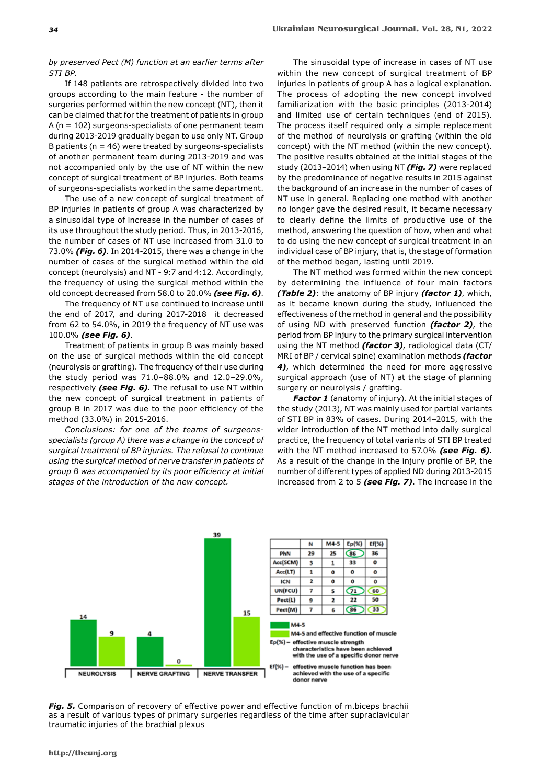### *by preserved Pect (M) function at an earlier terms after STI BP.*

If 148 patients are retrospectively divided into two groups according to the main feature - the number of surgeries performed within the new concept (NT), then it can be claimed that for the treatment of patients in group A (n = 102) surgeons-specialists of one permanent team during 2013-2019 gradually began to use only NT. Group B patients ( $n = 46$ ) were treated by surgeons-specialists of another permanent team during 2013-2019 and was not accompanied only by the use of NT within the new concept of surgical treatment of BP injuries. Both teams of surgeons-specialists worked in the same department.

The use of a new concept of surgical treatment of BP injuries in patients of group A was characterized by a sinusoidal type of increase in the number of cases of its use throughout the study period. Thus, in 2013-2016, the number of cases of NT use increased from 31.0 to 73.0% *(Fig. 6)*. In 2014-2015, there was a change in the number of cases of the surgical method within the old concept (neurolysis) and NT - 9:7 and 4:12. Accordingly, the frequency of using the surgical method within the old concept decreased from 58.0 to 20.0% *(see Fig. 6)*.

The frequency of NT use continued to increase until the end of 2017, and during 2017-2018 it decreased from 62 to 54.0%, in 2019 the frequency of NT use was 100.0% *(see Fig. 6)*.

Treatment of patients in group B was mainly based on the use of surgical methods within the old concept (neurolysis or grafting). The frequency of their use during the study period was 71.0‒88.0% and 12.0‒29.0%, respectively *(see Fig. 6)*. The refusal to use NT within the new concept of surgical treatment in patients of group B in 2017 was due to the poor efficiency of the method (33.0%) in 2015-2016.

*Conclusions: for one of the teams of surgeonsspecialists (group A) there was a change in the concept of surgical treatment of BP injuries. The refusal to continue using the surgical method of nerve transfer in patients of group B was accompanied by its poor efficiency at initial stages of the introduction of the new concept.*

The sinusoidal type of increase in cases of NT use within the new concept of surgical treatment of BP injuries in patients of group A has a logical explanation. The process of adopting the new concept involved familiarization with the basic principles (2013-2014) and limited use of certain techniques (end of 2015). The process itself required only a simple replacement of the method of neurolysis or grafting (within the old concept) with the NT method (within the new concept). The positive results obtained at the initial stages of the study (2013–2014) when using NT *(Fig. 7)* were replaced by the predominance of negative results in 2015 against the background of an increase in the number of cases of NT use in general. Replacing one method with another no longer gave the desired result, it became necessary to clearly define the limits of productive use of the method, answering the question of how, when and what to do using the new concept of surgical treatment in an individual case of BP injury, that is, the stage of formation of the method began, lasting until 2019.

The NT method was formed within the new concept by determining the influence of four main factors *(Table 2)*: the anatomy of BP injury *(factor 1)*, which, as it became known during the study, influenced the effectiveness of the method in general and the possibility of using ND with preserved function *(factor 2)*, the period from BP injury to the primary surgical intervention using the NT method *(factor 3)*, radiological data (CT/ MRI of BP / cervical spine) examination methods *(factor 4)*, which determined the need for more aggressive surgical approach (use of NT) at the stage of planning surgery or neurolysis / grafting.

*Factor 1* (anatomy of injury). At the initial stages of the study (2013), NT was mainly used for partial variants of STI BP in 83% of cases. During 2014-2015, with the wider introduction of the NT method into daily surgical practice, the frequency of total variants of STI BP treated with the NT method increased to 57.0% *(see Fig. 6)*. As a result of the change in the injury profile of BP, the number of different types of applied ND during 2013-2015 increased from 2 to 5 *(see Fig. 7)*. The increase in the



*Fig. 5.* Comparison of recovery of effective power and effective function of m.biceps brachii as a result of various types of primary surgeries regardless of the time after supraclavicular traumatic injuries of the brachial plexus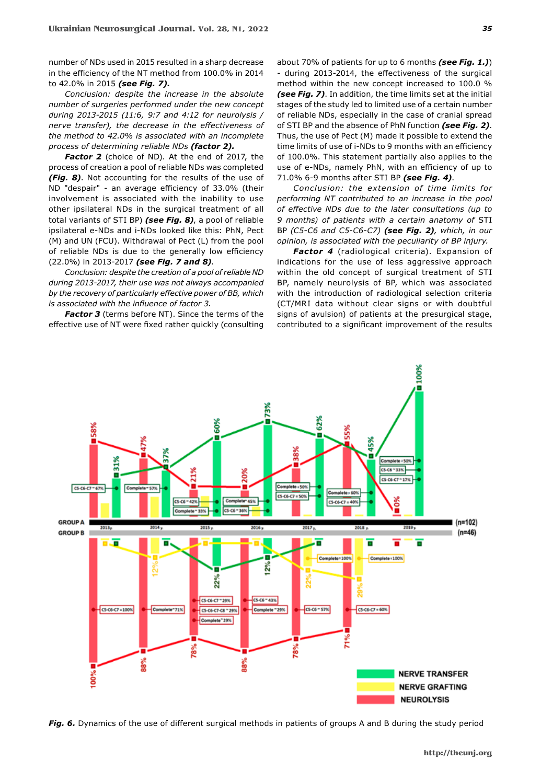number of NDs used in 2015 resulted in a sharp decrease in the efficiency of the NT method from 100.0% in 2014 to 42.0% in 2015 *(see Fig. 7).*

*Conclusion: despite the increase in the absolute number of surgeries performed under the new concept during 2013-2015 (11:6, 9:7 and 4:12 for neurolysis / nerve transfer), the decrease in the effectiveness of the method to 42.0% is associated with an incomplete process of determining reliable NDs (factor 2).*

*Factor 2* (choice of ND). At the end of 2017, the process of creation a pool of reliable NDs was completed *(Fig. 8)*. Not accounting for the results of the use of ND "despair" - an average efficiency of 33.0% (their involvement is associated with the inability to use other ipsilateral NDs in the surgical treatment of all total variants of STI BP) *(see Fig. 8)*, a pool of reliable ipsilateral e-NDs and i-NDs looked like this: PhN, Pect (M) and UN (FCU). Withdrawal of Pect (L) from the pool of reliable NDs is due to the generally low efficiency (22.0%) in 2013-2017 *(see Fig. 7 and 8)*.

*Conclusion: despite the creation of a pool of reliable ND during 2013-2017, their use was not always accompanied by the recovery of particularly effective power of BB, which is associated with the influence of factor 3.*

*Factor 3* (terms before NT). Since the terms of the effective use of NT were fixed rather quickly (consulting

about 70% of patients for up to 6 months *(see Fig. 1.)*) - during 2013-2014, the effectiveness of the surgical method within the new concept increased to 100.0 % *(see Fig. 7)*. In addition, the time limits set at the initial stages of the study led to limited use of a certain number of reliable NDs, especially in the case of cranial spread of STI BP and the absence of PhN function *(see Fig. 2)*. Thus, the use of Pect (M) made it possible to extend the time limits of use of i-NDs to 9 months with an efficiency of 100.0%. This statement partially also applies to the use of e-NDs, namely PhN, with an efficiency of up to 71.0% 6-9 months after STI BP *(see Fig. 4)*.

*Conclusion: the ex tension of time limits for performing NT contributed to an increase in the pool of effective NDs due to the later consultations (up to 9 months) of patients with a certain anatomy of* STI BP *(C5-C6 and C5-C6-C7) (see Fig. 2), which, in our opinion, is associated with the peculiarity of BP injury.*

*Factor 4* (radiological criteria). Expansion of indications for the use of less aggressive approach within the old concept of surgical treatment of STI BP, namely neurolysis of BP, which was associated with the introduction of radiological selection criteria (CT/MRI data without clear signs or with doubtful signs of avulsion) of patients at the presurgical stage, contributed to a significant improvement of the results



*Fig. 6.* Dynamics of the use of different surgical methods in patients of groups A and B during the study period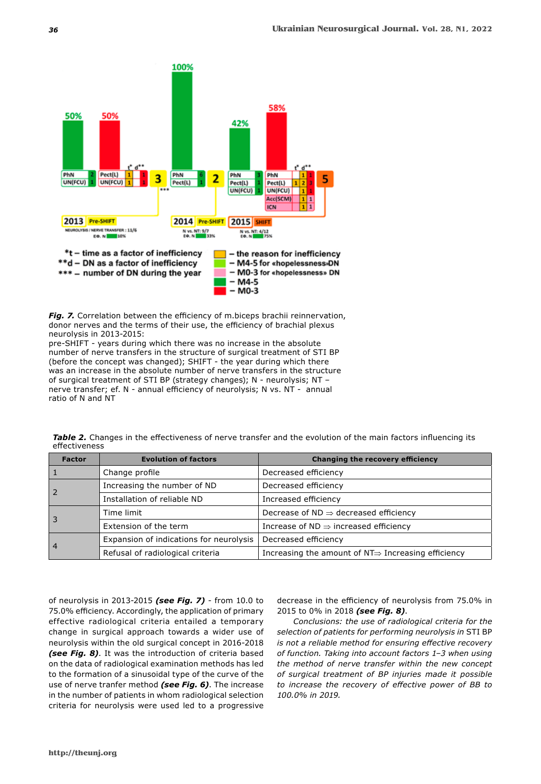

*Fig. 7.* Correlation between the efficiency of m.biceps brachii reinnervation, donor nerves and the terms of their use, the efficiency of brachial plexus neurolysis in 2013-2015:

pre-SHIFT - years during which there was no increase in the absolute number of nerve transfers in the structure of surgical treatment of STI BP (before the concept was changed); SHIFT - the year during which there was an increase in the absolute number of nerve transfers in the structure of surgical treatment of STI BP (strategy changes); N - neurolysis; NT – nerve transfer; ef. N - annual efficiency of neurolysis; N vs. NT - annual ratio of N and NT

|               |  |  |  |  | Table 2. Changes in the effectiveness of nerve transfer and the evolution of the main factors influencing its |
|---------------|--|--|--|--|---------------------------------------------------------------------------------------------------------------|
| effectiveness |  |  |  |  |                                                                                                               |
|               |  |  |  |  |                                                                                                               |

| <b>Factor</b>  | <b>Evolution of factors</b>             | Changing the recovery efficiency                                |  |  |  |
|----------------|-----------------------------------------|-----------------------------------------------------------------|--|--|--|
|                | Change profile                          | Decreased efficiency                                            |  |  |  |
| $\overline{2}$ | Increasing the number of ND             | Decreased efficiency                                            |  |  |  |
|                | Installation of reliable ND             | Increased efficiency                                            |  |  |  |
| Ι3             | Time limit                              | Decrease of $ND \Rightarrow$ decreased efficiency               |  |  |  |
|                | Extension of the term                   | Increase of $ND \Rightarrow$ increased efficiency               |  |  |  |
| $\vert$ 4      | Expansion of indications for neurolysis | Decreased efficiency                                            |  |  |  |
|                | Refusal of radiological criteria        | Increasing the amount of $NT \Rightarrow$ Increasing efficiency |  |  |  |

of neurolysis in 2013-2015 *(see Fig. 7)* - from 10.0 to 75.0% efficiency. Accordingly, the application of primary effective radiological criteria entailed a temporary change in surgical approach towards a wider use of neurolysis within the old surgical concept in 2016-2018 *(see Fig. 8)*. It was the introduction of criteria based on the data of radiological examination methods has led to the formation of a sinusoidal type of the curve of the use of nerve tranfer method *(see Fig. 6)*. The increase in the number of patients in whom radiological selection criteria for neurolysis were used led to a progressive

decrease in the efficiency of neurolysis from 75.0% in 2015 to 0% in 2018 *(see Fig. 8)*.

*Conclusions: the use of radiological criteria for the selection of patients for performing neurolysis in* STI BP *is not a reliable method for ensuring effective recovery of function. Taking into account factors 1‒3 when using the method of nerve transfer within the new concept of surgical treatment of BP injuries made it possible to increase the recovery of effective power of BB to 100.0% in 2019.*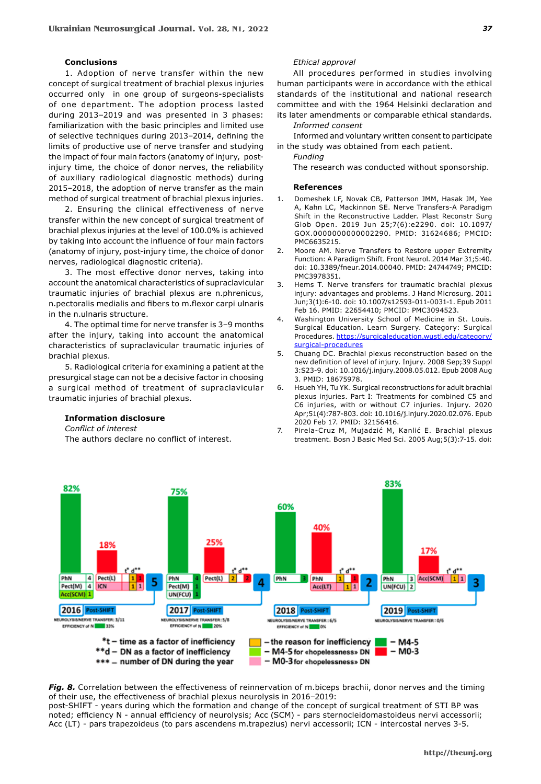#### **Conclusions**

1. Adoption of nerve transfer within the new concept of surgical treatment of brachial plexus injuries occurred only in one group of surgeons-specialists of one department. The adoption process lasted during 2013-2019 and was presented in 3 phases: familiarization with the basic principles and limited use of selective techniques during 2013-2014, defining the limits of productive use of nerve transfer and studying the impact of four main factors (anatomy of injury, postinjury time, the choice of donor nerves, the reliability of auxiliary radiological diagnostic methods) during 2015–2018, the adoption of nerve transfer as the main method of surgical treatment of brachial plexus injuries.

2. Ensuring the clinical effectiveness of nerve transfer within the new concept of surgical treatment of brachial plexus injuries at the level of 100.0% is achieved by taking into account the influence of four main factors (anatomy of injury, post-injury time, the choice of donor nerves, radiological diagnostic criteria).

3. The most effective donor nerves, taking into account the anatomical characteristics of supraclavicular traumatic injuries of brachial plexus are n.phrenicus, n.pectoralis medialis and fibers to m.flexor carpi ulnaris in the n.ulnaris structure.

4. The optimal time for nerve transfer is 3‒9 months after the injury, taking into account the anatomical characteristics of supraclavicular traumatic injuries of brachial plexus.

5. Radiological criteria for examining a patient at the presurgical stage can not be a decisive factor in choosing a surgical method of treatment of supraclavicular traumatic injuries of brachial plexus.

## *Ethical approval*

All procedures performed in studies involving human participants were in accordance with the ethical standards of the institutional and national research committee and with the 1964 Helsinki declaration and its later amendments or comparable ethical standards. *Informed consent*

Informed and voluntary written consent to participate in the study was obtained from each patient.

*Funding* The research was conducted without sponsorship.

#### **References**

- 1. Domeshek LF, Novak CB, Patterson JMM, Hasak JM, Yee A, Kahn LC, Mackinnon SE. Nerve Transfers-A Paradigm Shift in the Reconstructive Ladder. Plast Reconstr Surg Glob Open. 2019 Jun 25;7(6):e2290. doi: 10.1097/ GOX.0000000000002290. PMID: 31624686; PMCID: PMC6635215.
- 2. Moore AM. Nerve Transfers to Restore upper Extremity Function: A Paradigm Shift. Front Neurol. 2014 Mar 31;5:40. doi: 10.3389/fneur.2014.00040. PMID: 24744749; PMCID: PMC3978351.
- 3. Hems T. Nerve transfers for traumatic brachial plexus injury: advantages and problems. J Hand Microsurg. 2011 Jun;3(1):6-10. doi: 10.1007/s12593-011-0031-1. Epub 2011 Feb 16. PMID: 22654410; PMCID: PMC3094523.
- 4. Washington University School of Medicine in St. Louis. Surgical Education. Learn Surgery. Category: Surgical Procedures. https://surgicaleducation.wustl.edu/category/ surgical-procedures
- 5. Chuang DC. Brachial plexus reconstruction based on the new definition of level of injury. Injury. 2008 Sep;39 Suppl 3:S23-9. doi: 10.1016/j.injury.2008.05.012. Epub 2008 Aug 3. PMID: 18675978.
- 6. Hsueh YH, Tu YK. Surgical reconstructions for adult brachial plexus injuries. Part I: Treatments for combined C5 and C6 injuries, with or without C7 injuries. Injury. 2020 Apr;51(4):787-803. doi: 10.1016/j.injury.2020.02.076. Epub 2020 Feb 17. PMID: 32156416.
- 7. Pirela-Cruz M, Mujadzić M, Kanlić E. Brachial plexus treatment. Bosn J Basic Med Sci. 2005 Aug;5(3):7-15. doi:



*Fig. 8.* Correlation between the effectiveness of reinnervation of m.biceps brachii, donor nerves and the timing of their use, the effectiveness of brachial plexus neurolysis in 2016-2019:

post-SHIFT - years during which the formation and change of the concept of surgical treatment of STI BP was noted; efficiency N - annual efficiency of neurolysis; Acc (SCM) - pars sternocleidomastoideus nervi accessorii; Acc (LT) - pars trapezoideus (to pars ascendens m.trapezius) nervi accessorii; ICN - intercostal nerves 3-5.



*Conflict of interest*

The authors declare no conflict of interest.